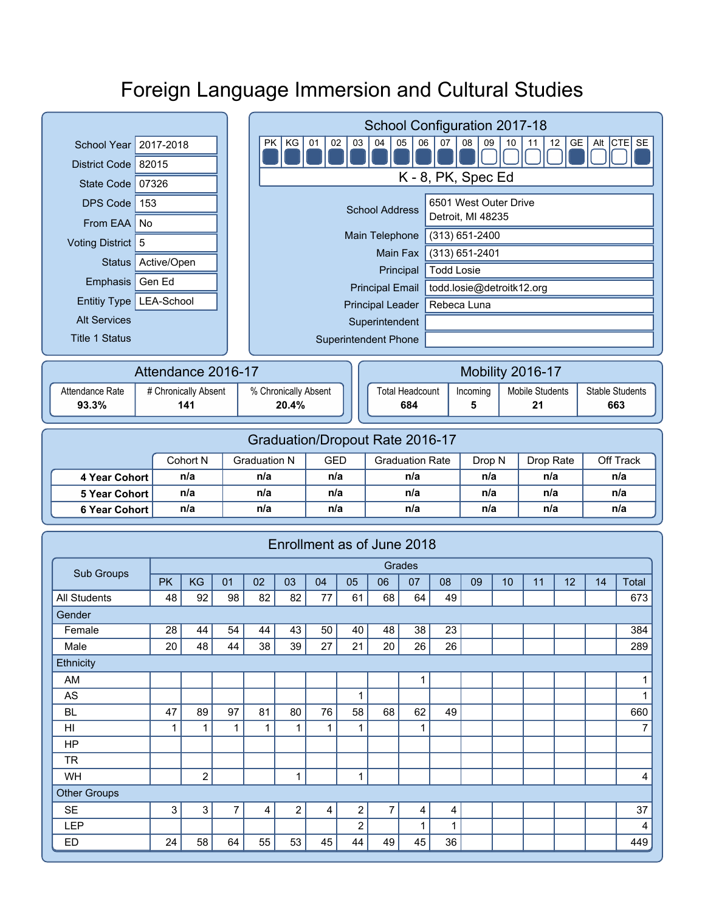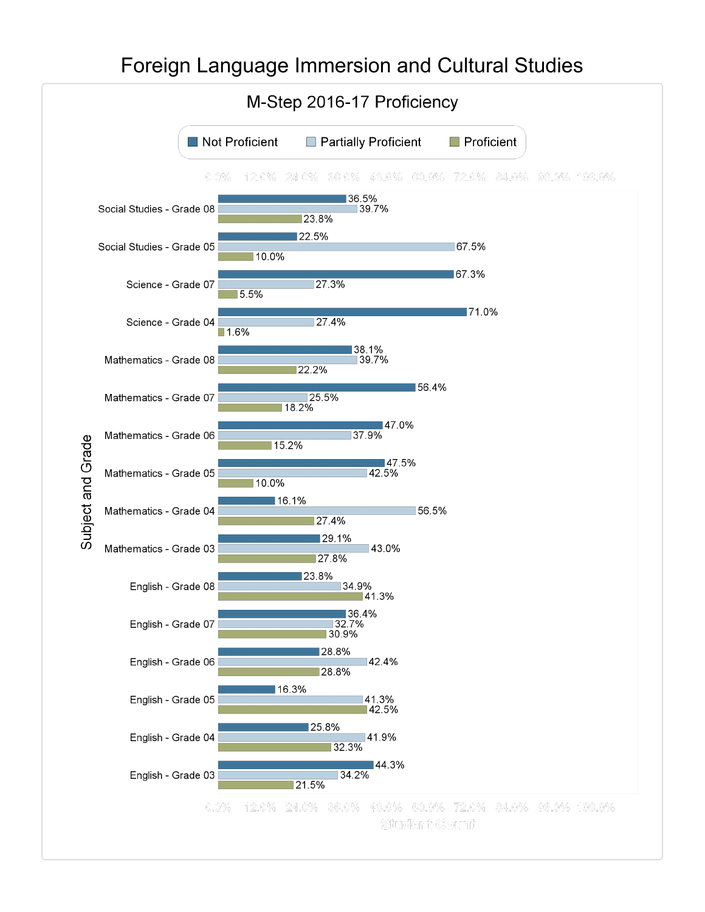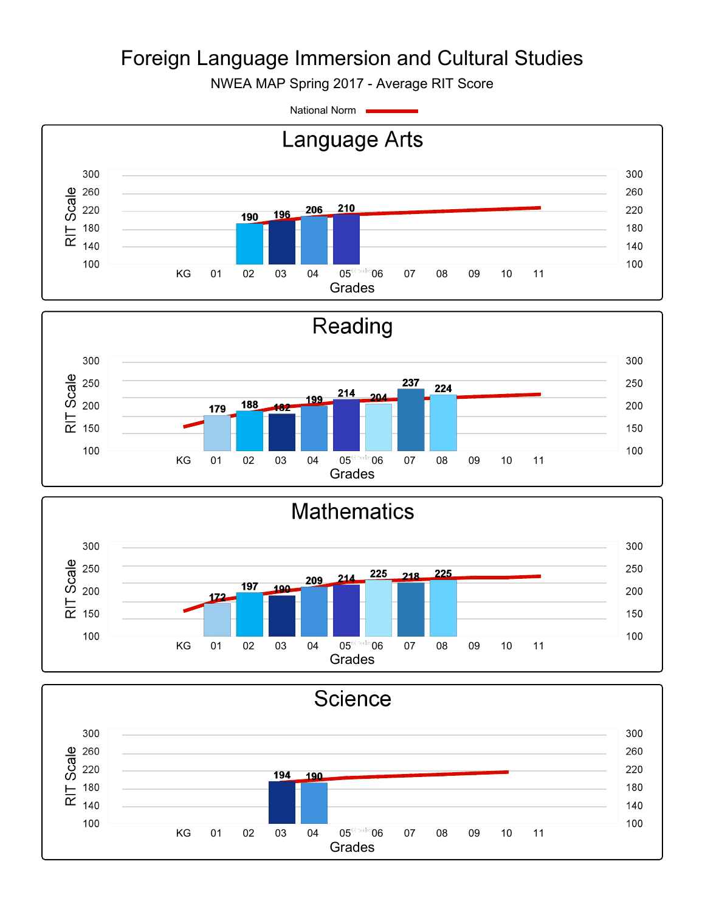NWEA MAP Spring 2017 - Average RIT Score